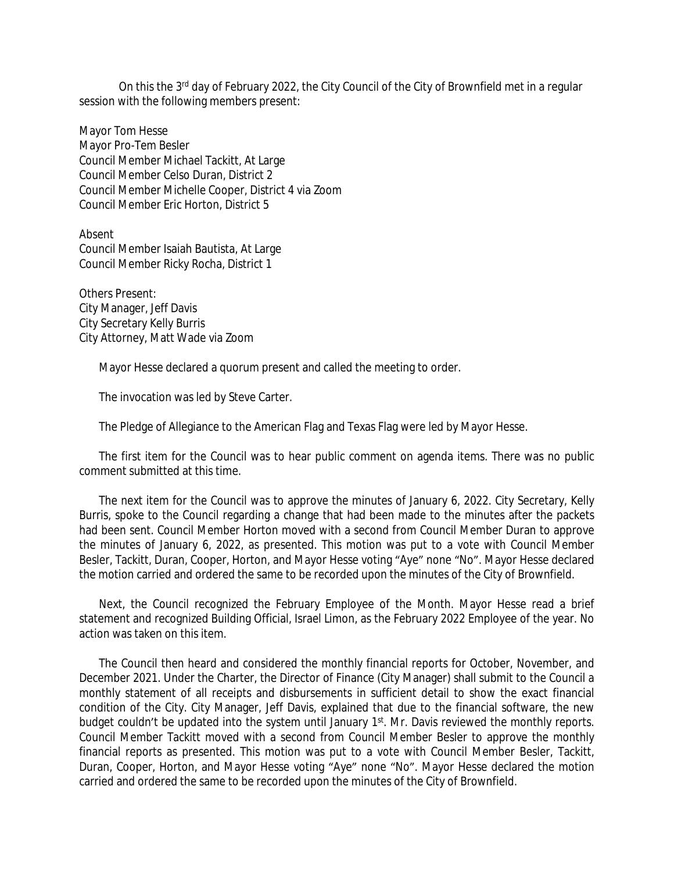On this the 3<sup>rd</sup> day of February 2022, the City Council of the City of Brownfield met in a regular session with the following members present:

Mayor Tom Hesse Mayor Pro-Tem Besler Council Member Michael Tackitt, At Large Council Member Celso Duran, District 2 Council Member Michelle Cooper, District 4 via Zoom Council Member Eric Horton, District 5

Absent Council Member Isaiah Bautista, At Large Council Member Ricky Rocha, District 1

Others Present: City Manager, Jeff Davis City Secretary Kelly Burris City Attorney, Matt Wade via Zoom

Mayor Hesse declared a quorum present and called the meeting to order.

The invocation was led by Steve Carter.

The Pledge of Allegiance to the American Flag and Texas Flag were led by Mayor Hesse.

The first item for the Council was to hear public comment on agenda items. There was no public comment submitted at this time.

The next item for the Council was to approve the minutes of January 6, 2022. City Secretary, Kelly Burris, spoke to the Council regarding a change that had been made to the minutes after the packets had been sent. Council Member Horton moved with a second from Council Member Duran to approve the minutes of January 6, 2022, as presented. This motion was put to a vote with Council Member Besler, Tackitt, Duran, Cooper, Horton, and Mayor Hesse voting "Aye" none "No". Mayor Hesse declared the motion carried and ordered the same to be recorded upon the minutes of the City of Brownfield.

Next, the Council recognized the February Employee of the Month. Mayor Hesse read a brief statement and recognized Building Official, Israel Limon, as the February 2022 Employee of the year. No action was taken on this item.

The Council then heard and considered the monthly financial reports for October, November, and December 2021. Under the Charter, the Director of Finance (City Manager) shall submit to the Council a monthly statement of all receipts and disbursements in sufficient detail to show the exact financial condition of the City. City Manager, Jeff Davis, explained that due to the financial software, the new budget couldn't be updated into the system until January 1<sup>st</sup>. Mr. Davis reviewed the monthly reports. Council Member Tackitt moved with a second from Council Member Besler to approve the monthly financial reports as presented. This motion was put to a vote with Council Member Besler, Tackitt, Duran, Cooper, Horton, and Mayor Hesse voting "Aye" none "No". Mayor Hesse declared the motion carried and ordered the same to be recorded upon the minutes of the City of Brownfield.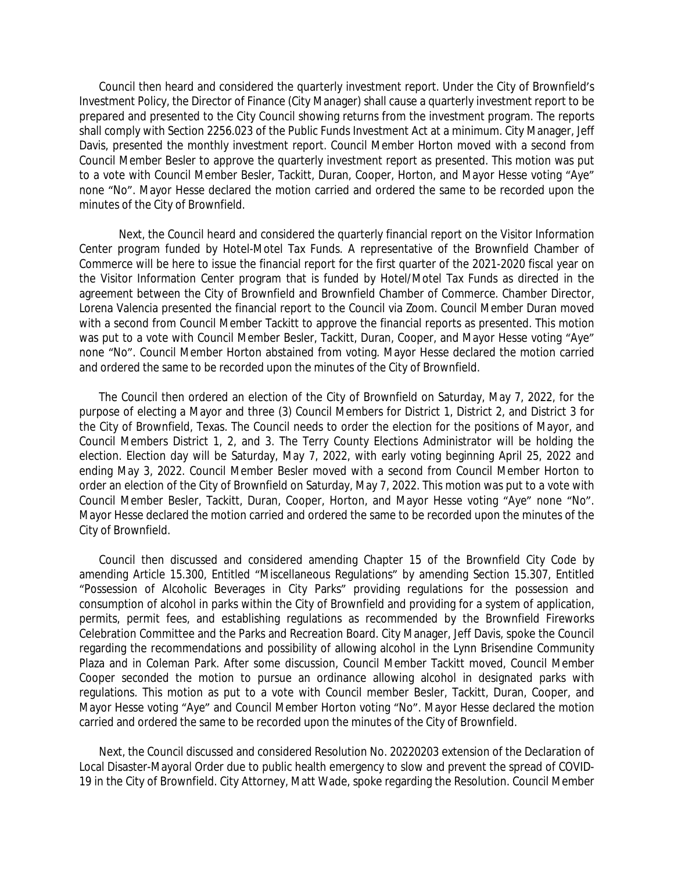Council then heard and considered the quarterly investment report. Under the City of Brownfield's Investment Policy, the Director of Finance (City Manager) shall cause a quarterly investment report to be prepared and presented to the City Council showing returns from the investment program. The reports shall comply with Section 2256.023 of the Public Funds Investment Act at a minimum. City Manager, Jeff Davis, presented the monthly investment report. Council Member Horton moved with a second from Council Member Besler to approve the quarterly investment report as presented. This motion was put to a vote with Council Member Besler, Tackitt, Duran, Cooper, Horton, and Mayor Hesse voting "Aye" none "No". Mayor Hesse declared the motion carried and ordered the same to be recorded upon the minutes of the City of Brownfield.

Next, the Council heard and considered the quarterly financial report on the Visitor Information Center program funded by Hotel-Motel Tax Funds. A representative of the Brownfield Chamber of Commerce will be here to issue the financial report for the first quarter of the 2021-2020 fiscal year on the Visitor Information Center program that is funded by Hotel/Motel Tax Funds as directed in the agreement between the City of Brownfield and Brownfield Chamber of Commerce. Chamber Director, Lorena Valencia presented the financial report to the Council via Zoom. Council Member Duran moved with a second from Council Member Tackitt to approve the financial reports as presented. This motion was put to a vote with Council Member Besler, Tackitt, Duran, Cooper, and Mayor Hesse voting "Aye" none "No". Council Member Horton abstained from voting. Mayor Hesse declared the motion carried and ordered the same to be recorded upon the minutes of the City of Brownfield.

The Council then ordered an election of the City of Brownfield on Saturday, May 7, 2022, for the purpose of electing a Mayor and three (3) Council Members for District 1, District 2, and District 3 for the City of Brownfield, Texas. The Council needs to order the election for the positions of Mayor, and Council Members District 1, 2, and 3. The Terry County Elections Administrator will be holding the election. Election day will be Saturday, May 7, 2022, with early voting beginning April 25, 2022 and ending May 3, 2022. Council Member Besler moved with a second from Council Member Horton to order an election of the City of Brownfield on Saturday, May 7, 2022. This motion was put to a vote with Council Member Besler, Tackitt, Duran, Cooper, Horton, and Mayor Hesse voting "Aye" none "No". Mayor Hesse declared the motion carried and ordered the same to be recorded upon the minutes of the City of Brownfield.

Council then discussed and considered amending Chapter 15 of the Brownfield City Code by amending Article 15.300, Entitled "Miscellaneous Regulations" by amending Section 15.307, Entitled "Possession of Alcoholic Beverages in City Parks" providing regulations for the possession and consumption of alcohol in parks within the City of Brownfield and providing for a system of application, permits, permit fees, and establishing regulations as recommended by the Brownfield Fireworks Celebration Committee and the Parks and Recreation Board. City Manager, Jeff Davis, spoke the Council regarding the recommendations and possibility of allowing alcohol in the Lynn Brisendine Community Plaza and in Coleman Park. After some discussion, Council Member Tackitt moved, Council Member Cooper seconded the motion to pursue an ordinance allowing alcohol in designated parks with regulations. This motion as put to a vote with Council member Besler, Tackitt, Duran, Cooper, and Mayor Hesse voting "Aye" and Council Member Horton voting "No". Mayor Hesse declared the motion carried and ordered the same to be recorded upon the minutes of the City of Brownfield.

Next, the Council discussed and considered Resolution No. 20220203 extension of the Declaration of Local Disaster-Mayoral Order due to public health emergency to slow and prevent the spread of COVID-19 in the City of Brownfield. City Attorney, Matt Wade, spoke regarding the Resolution. Council Member